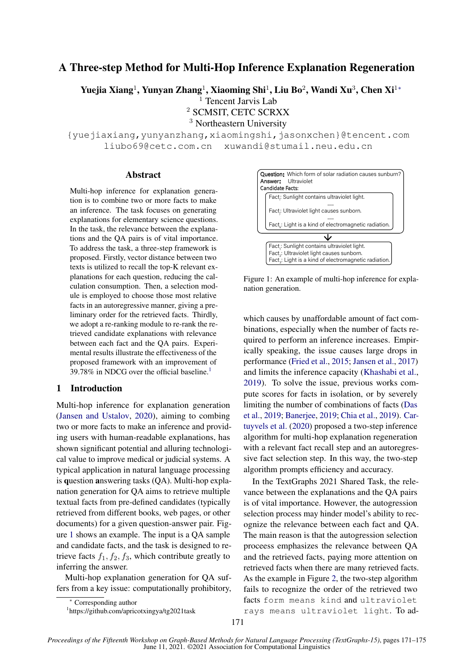# A Three-step Method for Multi-Hop Inference Explanation Regeneration

Yuejia Xiang<sup>1</sup>, Yunyan Zhang<sup>1</sup>, Xiaoming Shi<sup>1</sup>, Liu Bo<sup>2</sup>, Wandi Xu<sup>3</sup>, Chen Xi<sup>1</sup>\*

 $<sup>1</sup>$  Tencent Jarvis Lab</sup>

<sup>2</sup> SCMSIT, CETC SCRXX

<sup>3</sup> Northeastern University

{yuejiaxiang,yunyanzhang,xiaomingshi,jasonxchen}@tencent.com liubo69@cetc.com.cn xuwandi@stumail.neu.edu.cn

#### **Abstract**

Multi-hop inference for explanation generation is to combine two or more facts to make an inference. The task focuses on generating explanations for elementary science questions. In the task, the relevance between the explanations and the QA pairs is of vital importance. To address the task, a three-step framework is proposed. Firstly, vector distance between two texts is utilized to recall the top-K relevant explanations for each question, reducing the calculation consumption. Then, a selection module is employed to choose those most relative facts in an autoregressive manner, giving a preliminary order for the retrieved facts. Thirdly, we adopt a re-ranking module to re-rank the retrieved candidate explanations with relevance between each fact and the QA pairs. Experimental results illustrate the effectiveness of the proposed framework with an improvement of 39.78% in NDCG over the official baseline.<sup>[1](#page-0-0)</sup>

#### 1 Introduction

Multi-hop inference for explanation generation [\(Jansen and Ustalov,](#page-4-0) [2020\)](#page-4-0), aiming to combing two or more facts to make an inference and providing users with human-readable explanations, has shown significant potential and alluring technological value to improve medical or judicial systems. A typical application in natural language processing is question answering tasks (QA). Multi-hop explanation generation for QA aims to retrieve multiple textual facts from pre-defined candidates (typically retrieved from different books, web pages, or other documents) for a given question-answer pair. Figure [1](#page-0-1) shows an example. The input is a QA sample and candidate facts, and the task is designed to retrieve facts  $f_1, f_2, f_3$ , which contribute greatly to inferring the answer.

Multi-hop explanation generation for QA suffers from a key issue: computationally prohibitory,

<span id="page-0-1"></span>

Figure 1: An example of multi-hop inference for explanation generation.

which causes by unaffordable amount of fact combinations, especially when the number of facts required to perform an inference increases. Empirically speaking, the issue causes large drops in performance [\(Fried et al.,](#page-4-1) [2015;](#page-4-1) [Jansen et al.,](#page-4-2) [2017\)](#page-4-2) and limits the inference capacity [\(Khashabi et al.,](#page-4-3) [2019\)](#page-4-3). To solve the issue, previous works compute scores for facts in isolation, or by severely limiting the number of combinations of facts [\(Das](#page-4-4) [et al.,](#page-4-4) [2019;](#page-4-4) [Banerjee,](#page-4-5) [2019;](#page-4-5) [Chia et al.,](#page-4-6) [2019\)](#page-4-6). [Car](#page-4-7)[tuyvels et al.](#page-4-7) [\(2020\)](#page-4-7) proposed a two-step inference algorithm for multi-hop explanation regeneration with a relevant fact recall step and an autoregressive fact selection step. In this way, the two-step algorithm prompts efficiency and accuracy.

In the TextGraphs 2021 Shared Task, the relevance between the explanations and the QA pairs is of vital importance. However, the autogression selection process may hinder model's ability to recognize the relevance between each fact and QA. The main reason is that the autogression selection proceess emphasizes the relevance between QA and the retrieved facts, paying more attention on retrieved facts when there are many retrieved facts. As the example in Figure [2,](#page-1-0) the two-step algorithm fails to recognize the order of the retrieved two facts form means kind and ultraviolet rays means ultraviolet light. To ad-

<sup>∗</sup> Corresponding author

<span id="page-0-0"></span><sup>1</sup> https://github.com/apricotxingya/tg2021task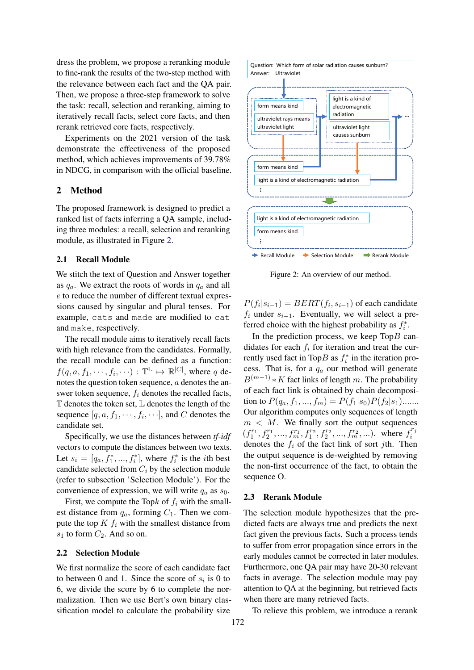dress the problem, we propose a reranking module to fine-rank the results of the two-step method with the relevance between each fact and the QA pair. Then, we propose a three-step framework to solve the task: recall, selection and reranking, aiming to iteratively recall facts, select core facts, and then rerank retrieved core facts, respectively.

Experiments on the 2021 version of the task demonstrate the effectiveness of the proposed method, which achieves improvements of 39.78% in NDCG, in comparison with the official baseline.

# 2 Method

The proposed framework is designed to predict a ranked list of facts inferring a QA sample, including three modules: a recall, selection and reranking module, as illustrated in Figure [2.](#page-1-0)

### 2.1 Recall Module

We stitch the text of Question and Answer together as  $q_a$ . We extract the roots of words in  $q_a$  and all e to reduce the number of different textual expressions caused by singular and plural tenses. For example, cats and made are modified to cat and make, respectively.

The recall module aims to iteratively recall facts with high relevance from the candidates. Formally, the recall module can be defined as a function:  $f(q, a, f_1, \dots, f_i, \dots) : \mathbb{T}^{\mathbb{L}} \mapsto \mathbb{R}^{|C|}$ , where q denotes the question token sequence, a denotes the answer token sequence,  $f_i$  denotes the recalled facts,  $T$  denotes the token set,  $L$  denotes the length of the sequence  $[q, a, f_1, \dots, f_i, \dots]$ , and C denotes the candidate set.

Specifically, we use the distances between *tf-idf* vectors to compute the distances between two texts. Let  $s_i = [q_a, f_1^*, \dots, f_i^*]$ , where  $f_i^*$  is the *i*th best candidate selected from  $C_i$  by the selection module (refer to subsection 'Selection Module'). For the convenience of expression, we will write  $q_a$  as  $s_0$ .

First, we compute the Topk of  $f_i$  with the smallest distance from  $q_a$ , forming  $C_1$ . Then we compute the top  $K f_i$  with the smallest distance from  $s_1$  to form  $C_2$ . And so on.

#### 2.2 Selection Module

We first normalize the score of each candidate fact to between 0 and 1. Since the score of  $s_i$  is 0 to 6, we divide the score by 6 to complete the normalization. Then we use Bert's own binary classification model to calculate the probability size

<span id="page-1-0"></span>

Figure 2: An overview of our method.

 $P(f_i|s_{i-1}) = BERT(f_i, s_{i-1})$  of each candidate  $f_i$  under  $s_{i-1}$ . Eventually, we will select a preferred choice with the highest probability as  $f_i^*$ .

In the prediction process, we keep  $\text{Top}B$  candidates for each  $f_i$  for iteration and treat the currently used fact in TopB as  $f_i^*$  in the iteration process. That is, for a  $q_a$  our method will generate  $B^{(m-1)} * K$  fact links of length m. The probability of each fact link is obtained by chain decomposition to  $P(q_a, f_1, ..., f_m) = P(f_1|s_0)P(f_2|s_1)$ ...... Our algorithm computes only sequences of length  $m < M$ . We finally sort the output sequences  $(f_1^{r_1}, f_2^{r_1}, ..., f_m^{r_1}, f_1^{r_2}, f_2^{r_2}, ..., f_m^{r_2}, ...)$  where  $f_i^{r_i}$ i denotes the  $f_i$  of the fact link of sort *j*th. Then the output sequence is de-weighted by removing the non-first occurrence of the fact, to obtain the sequence O.

#### 2.3 Rerank Module

The selection module hypothesizes that the predicted facts are always true and predicts the next fact given the previous facts. Such a process tends to suffer from error propagation since errors in the early modules cannot be corrected in later modules. Furthermore, one QA pair may have 20-30 relevant facts in average. The selection module may pay attention to QA at the beginning, but retrieved facts when there are many retrieved facts.

To relieve this problem, we introduce a rerank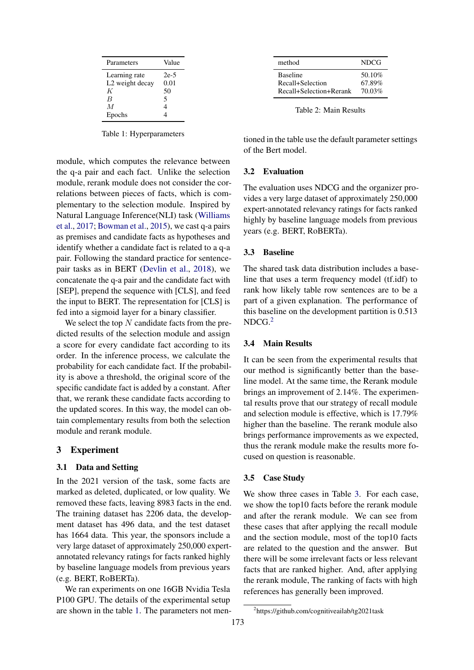<span id="page-2-0"></span>

| Parameters      | Value |
|-----------------|-------|
| Learning rate   | 2e-5  |
| L2 weight decay | 0.01  |
| К               | 50    |
| B               | 5     |
| M               | 4     |
| Epochs          |       |

Table 1: Hyperparameters

module, which computes the relevance between the q-a pair and each fact. Unlike the selection module, rerank module does not consider the correlations between pieces of facts, which is complementary to the selection module. Inspired by Natural Language Inference(NLI) task [\(Williams](#page-4-8) [et al.,](#page-4-8) [2017;](#page-4-8) [Bowman et al.,](#page-4-9) [2015\)](#page-4-9), we cast q-a pairs as premises and candidate facts as hypotheses and identify whether a candidate fact is related to a q-a pair. Following the standard practice for sentencepair tasks as in BERT [\(Devlin et al.,](#page-4-10) [2018\)](#page-4-10), we concatenate the q-a pair and the candidate fact with [SEP], prepend the sequence with [CLS], and feed the input to BERT. The representation for [CLS] is fed into a sigmoid layer for a binary classifier.

We select the top  $N$  candidate facts from the predicted results of the selection module and assign a score for every candidate fact according to its order. In the inference process, we calculate the probability for each candidate fact. If the probability is above a threshold, the original score of the specific candidate fact is added by a constant. After that, we rerank these candidate facts according to the updated scores. In this way, the model can obtain complementary results from both the selection module and rerank module.

### 3 Experiment

### 3.1 Data and Setting

In the 2021 version of the task, some facts are marked as deleted, duplicated, or low quality. We removed these facts, leaving 8983 facts in the end. The training dataset has 2206 data, the development dataset has 496 data, and the test dataset has 1664 data. This year, the sponsors include a very large dataset of approximately 250,000 expertannotated relevancy ratings for facts ranked highly by baseline language models from previous years (e.g. BERT, RoBERTa).

We ran experiments on one 16GB Nvidia Tesla P100 GPU. The details of the experimental setup are shown in the table [1.](#page-2-0) The parameters not men-

| method                  | <b>NDCG</b> |
|-------------------------|-------------|
| <b>Baseline</b>         | 50.10%      |
| Recall+Selection        | 67.89%      |
| Recall+Selection+Rerank | 70.03%      |

Table 2: Main Results

tioned in the table use the default parameter settings of the Bert model.

### 3.2 Evaluation

The evaluation uses NDCG and the organizer provides a very large dataset of approximately 250,000 expert-annotated relevancy ratings for facts ranked highly by baseline language models from previous years (e.g. BERT, RoBERTa).

### 3.3 Baseline

The shared task data distribution includes a baseline that uses a term frequency model (tf.idf) to rank how likely table row sentences are to be a part of a given explanation. The performance of this baseline on the development partition is 0.513  $NDCG<sub>2</sub>$  $NDCG<sub>2</sub>$  $NDCG<sub>2</sub>$ 

#### 3.4 Main Results

It can be seen from the experimental results that our method is significantly better than the baseline model. At the same time, the Rerank module brings an improvement of 2.14%. The experimental results prove that our strategy of recall module and selection module is effective, which is 17.79% higher than the baseline. The rerank module also brings performance improvements as we expected, thus the rerank module make the results more focused on question is reasonable.

# 3.5 Case Study

We show three cases in Table [3.](#page-3-0) For each case, we show the top10 facts before the rerank module and after the rerank module. We can see from these cases that after applying the recall module and the section module, most of the top10 facts are related to the question and the answer. But there will be some irrelevant facts or less relevant facts that are ranked higher. And, after applying the rerank module, The ranking of facts with high references has generally been improved.

<span id="page-2-1"></span><sup>2</sup> https://github.com/cognitiveailab/tg2021task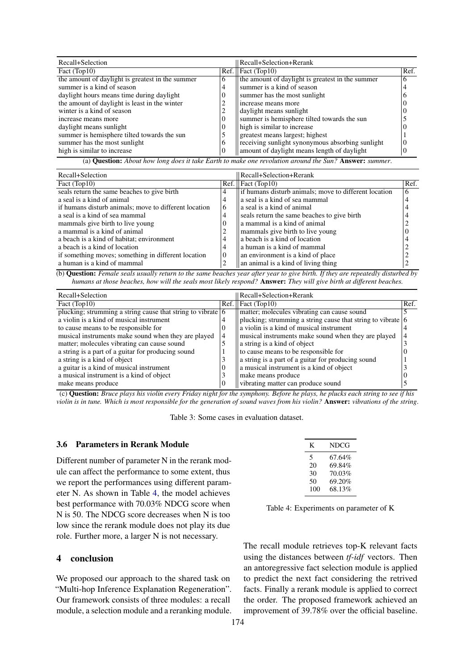<span id="page-3-0"></span>

| Recall+Selection                                 |              | Recall+Selection+Rerank                          |      |
|--------------------------------------------------|--------------|--------------------------------------------------|------|
| Fact (Top10)                                     |              | $\text{Ref.} \parallel \text{Fact (Top10)}$      | Ref. |
| the amount of daylight is greatest in the summer | b            | the amount of daylight is greatest in the summer | 6    |
| summer is a kind of season                       | 4            | summer is a kind of season                       |      |
| daylight hours means time during daylight        | $\Omega$     | summer has the most sunlight                     |      |
| the amount of daylight is least in the winter    | ∠            | increase means more                              |      |
| winter is a kind of season                       | ∠            | daylight means sunlight                          |      |
| increase means more                              | $\Omega$     | summer is hemisphere tilted towards the sun      |      |
| daylight means sunlight                          | $\theta$     | high is similar to increase                      |      |
| summer is hemisphere tilted towards the sun      |              | greatest means largest; highest                  |      |
| summer has the most sunlight                     | <sub>b</sub> | receiving sunlight synonymous absorbing sunlight |      |
| high is similar to increase                      | $\theta$     | amount of daylight means length of daylight      |      |

(a) Question: *About how long does it take Earth to make one revolution around the Sun?* Answer: *summer*.

| Recall+Selection                                      |          | Recall+Selection+Rerank                                |      |
|-------------------------------------------------------|----------|--------------------------------------------------------|------|
| Fact (Top10)                                          |          | $\text{Ref.}$   Fact (Top10)                           | Ref. |
| seals return the same beaches to give birth           | 4        | lif humans disturb animals; move to different location | 6    |
| a seal is a kind of animal                            | 4        | a seal is a kind of sea mammal                         |      |
| if humans disturb animals; move to different location | 6        | a seal is a kind of animal                             |      |
| a seal is a kind of sea mammal                        | 4        | seals return the same beaches to give birth            |      |
| mammals give birth to live young                      | $\theta$ | a mammal is a kind of animal                           |      |
| a mammal is a kind of animal                          |          | mammals give birth to live young                       |      |
| a beach is a kind of habitat; environment             | 4        | a beach is a kind of location                          |      |
| a beach is a kind of location                         | 4        | a human is a kind of mammal                            |      |
| if something moves; something in different location   | $\theta$ | an environment is a kind of place                      |      |
| a human is a kind of mammal                           | 2        | an animal is a kind of living thing                    |      |

(b) Question: *Female seals usually return to the same beaches year after year to give birth. If they are repeatedly disturbed by humans at those beaches, how will the seals most likely respond?* Answer: *They will give birth at different beaches.*

| Recall+Selection                                                            |                | Recall+Selection+Rerank                                                     |      |
|-----------------------------------------------------------------------------|----------------|-----------------------------------------------------------------------------|------|
| Fact (Top10)                                                                | Ref.           | Fact (Top10)                                                                | Ref. |
| plucking; strumming a string cause that string to vibrate $\vert 6 \rangle$ |                | matter; molecules vibrating can cause sound                                 |      |
| a violin is a kind of musical instrument                                    | 4              | plucking; strumming a string cause that string to vibrate $\vert 6 \rangle$ |      |
| to cause means to be responsible for                                        | $\theta$       | a violin is a kind of musical instrument                                    |      |
| musical instruments make sound when they are played                         | $\overline{4}$ | musical instruments make sound when they are played                         |      |
| matter; molecules vibrating can cause sound                                 |                | a string is a kind of object                                                |      |
| a string is a part of a guitar for producing sound                          |                | to cause means to be responsible for                                        |      |
| a string is a kind of object                                                |                | a string is a part of a guitar for producing sound                          |      |
| a guitar is a kind of musical instrument                                    | $\theta$       | a musical instrument is a kind of object                                    |      |
| a musical instrument is a kind of object                                    |                | make means produce                                                          |      |
| make means produce                                                          | $\Omega$       | vibrating matter can produce sound                                          |      |

(c) Question: *Bruce plays his violin every Friday night for the symphony. Before he plays, he plucks each string to see if his violin is in tune. Which is most responsible for the generation of sound waves from his violin?* Answer: *vibrations of the string*.

Table 3: Some cases in evaluation dataset.

#### 3.6 Parameters in Rerank Module

Different number of parameter N in the rerank module can affect the performance to some extent, thus we report the performances using different parameter N. As shown in Table [4,](#page-3-1) the model achieves best performance with 70.03% NDCG score when N is 50. The NDCG score decreases when N is too low since the rerank module does not play its due role. Further more, a larger N is not necessary.

# 4 conclusion

We proposed our approach to the shared task on "Multi-hop Inference Explanation Regeneration". Our framework consists of three modules: a recall module, a selection module and a reranking module.

<span id="page-3-1"></span>

| K        | NDCG             |
|----------|------------------|
| 5        | 67.64%           |
| 20<br>30 | 69.84%<br>70.03% |
| 50       | 69.20%           |
| 100      | 68.13%           |

Table 4: Experiments on parameter of K

The recall module retrieves top-K relevant facts using the distances between *tf-idf* vectors. Then an antoregressive fact selection module is applied to predict the next fact considering the retrived facts. Finally a rerank module is applied to correct the order. The proposed framework achieved an improvement of 39.78% over the official baseline.